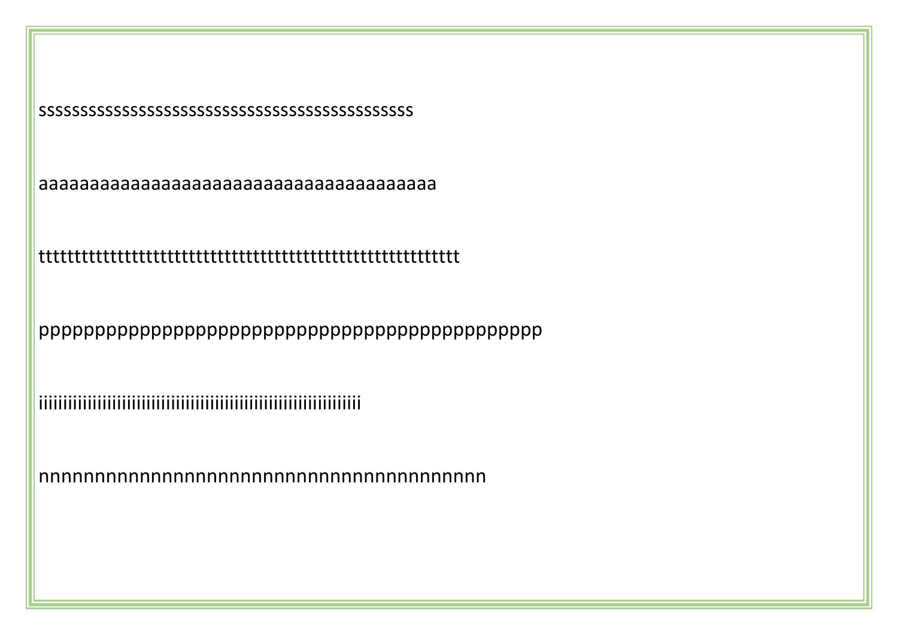sssssssssssssssssssssssssssssssssssssssssssss

aaaaaaaaaaaaaaaaaaaaaaaaaaaaaaaaaaaaaaa

ttttttttttttttttttttttttttttttttttttttttttttttttttttttttttt

ppppppppppppppppppppppppppppppppppppppppppppp

iiiiiiiiiiiiiiiiiiiiiiiiiiiiiiiiiiiiiiiiiiiiiiiiiiiiiiiiiiiiiiiiii

nnnnnnnnnnnnnnnnnnnnnnnnnnnnnnnnnnnnnnnn